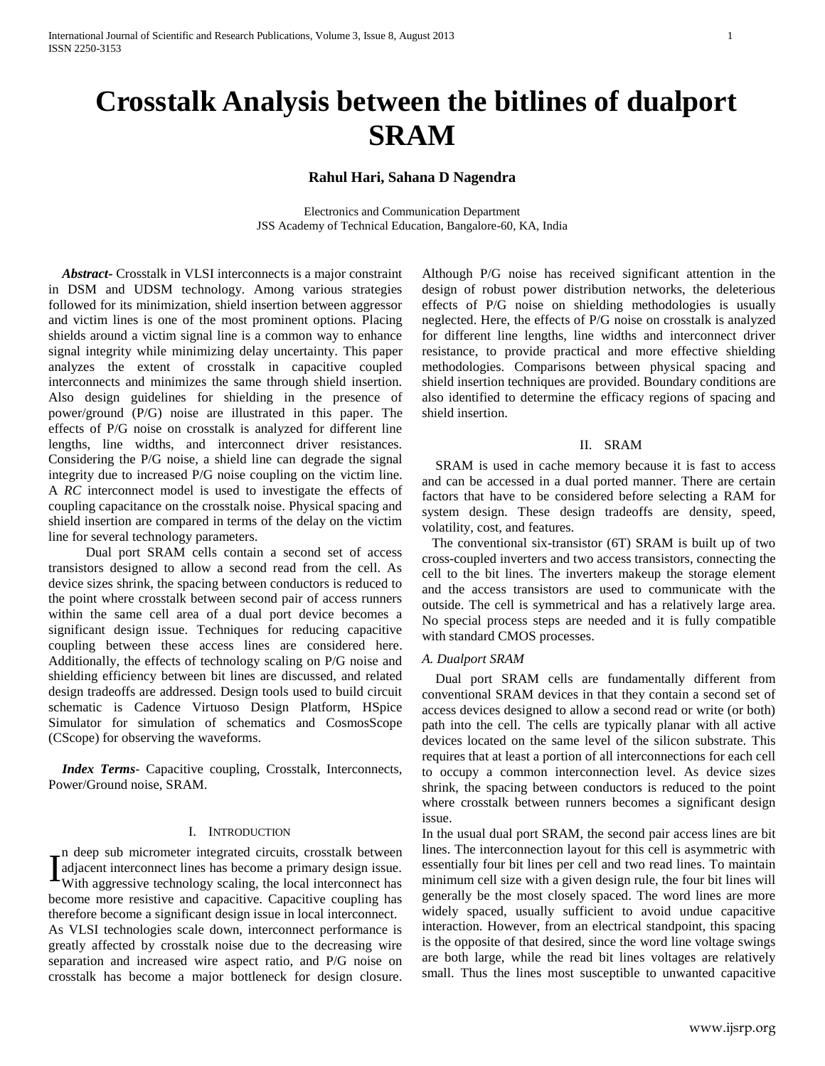# **Crosstalk Analysis between the bitlines of dualport SRAM**

# **Rahul Hari, Sahana D Nagendra**

Electronics and Communication Department JSS Academy of Technical Education, Bangalore-60, KA, India

 *Abstract***-** Crosstalk in VLSI interconnects is a major constraint in DSM and UDSM technology. Among various strategies followed for its minimization, shield insertion between aggressor and victim lines is one of the most prominent options. Placing shields around a victim signal line is a common way to enhance signal integrity while minimizing delay uncertainty. This paper analyzes the extent of crosstalk in capacitive coupled interconnects and minimizes the same through shield insertion. Also design guidelines for shielding in the presence of power/ground (P/G) noise are illustrated in this paper. The effects of P/G noise on crosstalk is analyzed for different line lengths, line widths, and interconnect driver resistances. Considering the P/G noise, a shield line can degrade the signal integrity due to increased P/G noise coupling on the victim line. A *RC* interconnect model is used to investigate the effects of coupling capacitance on the crosstalk noise. Physical spacing and shield insertion are compared in terms of the delay on the victim line for several technology parameters.

 Dual port SRAM cells contain a second set of access transistors designed to allow a second read from the cell. As device sizes shrink, the spacing between conductors is reduced to the point where crosstalk between second pair of access runners within the same cell area of a dual port device becomes a significant design issue. Techniques for reducing capacitive coupling between these access lines are considered here. Additionally, the effects of technology scaling on P/G noise and shielding efficiency between bit lines are discussed, and related design tradeoffs are addressed. Design tools used to build circuit schematic is Cadence Virtuoso Design Platform, HSpice Simulator for simulation of schematics and CosmosScope (CScope) for observing the waveforms.

 *Index Terms*- Capacitive coupling, Crosstalk, Interconnects, Power/Ground noise, SRAM.

# I. INTRODUCTION

n deep sub micrometer integrated circuits, crosstalk between adjacent interconnect lines has become a primary design issue. With aggressive technology scaling, the local interconnect has become more resistive and capacitive. Capacitive coupling has therefore become a significant design issue in local interconnect. As VLSI technologies scale down, interconnect performance is greatly affected by crosstalk noise due to the decreasing wire separation and increased wire aspect ratio, and P/G noise on crosstalk has become a major bottleneck for design closure. I

Although P/G noise has received significant attention in the design of robust power distribution networks, the deleterious effects of P/G noise on shielding methodologies is usually neglected. Here, the effects of P/G noise on crosstalk is analyzed for different line lengths, line widths and interconnect driver resistance, to provide practical and more effective shielding methodologies. Comparisons between physical spacing and shield insertion techniques are provided. Boundary conditions are also identified to determine the efficacy regions of spacing and shield insertion.

## II. SRAM

 SRAM is used in cache memory because it is fast to access and can be accessed in a dual ported manner. There are certain factors that have to be considered before selecting a RAM for system design. These design tradeoffs are density, speed, volatility, cost, and features.

 The conventional six-transistor (6T) SRAM is built up of two cross-coupled inverters and two access transistors, connecting the cell to the bit lines. The inverters makeup the storage element and the access transistors are used to communicate with the outside. The cell is symmetrical and has a relatively large area. No special process steps are needed and it is fully compatible with standard CMOS processes.

#### *A. Dualport SRAM*

 Dual port SRAM cells are fundamentally different from conventional SRAM devices in that they contain a second set of access devices designed to allow a second read or write (or both) path into the cell. The cells are typically planar with all active devices located on the same level of the silicon substrate. This requires that at least a portion of all interconnections for each cell to occupy a common interconnection level. As device sizes shrink, the spacing between conductors is reduced to the point where crosstalk between runners becomes a significant design issue.

In the usual dual port SRAM, the second pair access lines are bit lines. The interconnection layout for this cell is asymmetric with essentially four bit lines per cell and two read lines. To maintain minimum cell size with a given design rule, the four bit lines will generally be the most closely spaced. The word lines are more widely spaced, usually sufficient to avoid undue capacitive interaction. However, from an electrical standpoint, this spacing is the opposite of that desired, since the word line voltage swings are both large, while the read bit lines voltages are relatively small. Thus the lines most susceptible to unwanted capacitive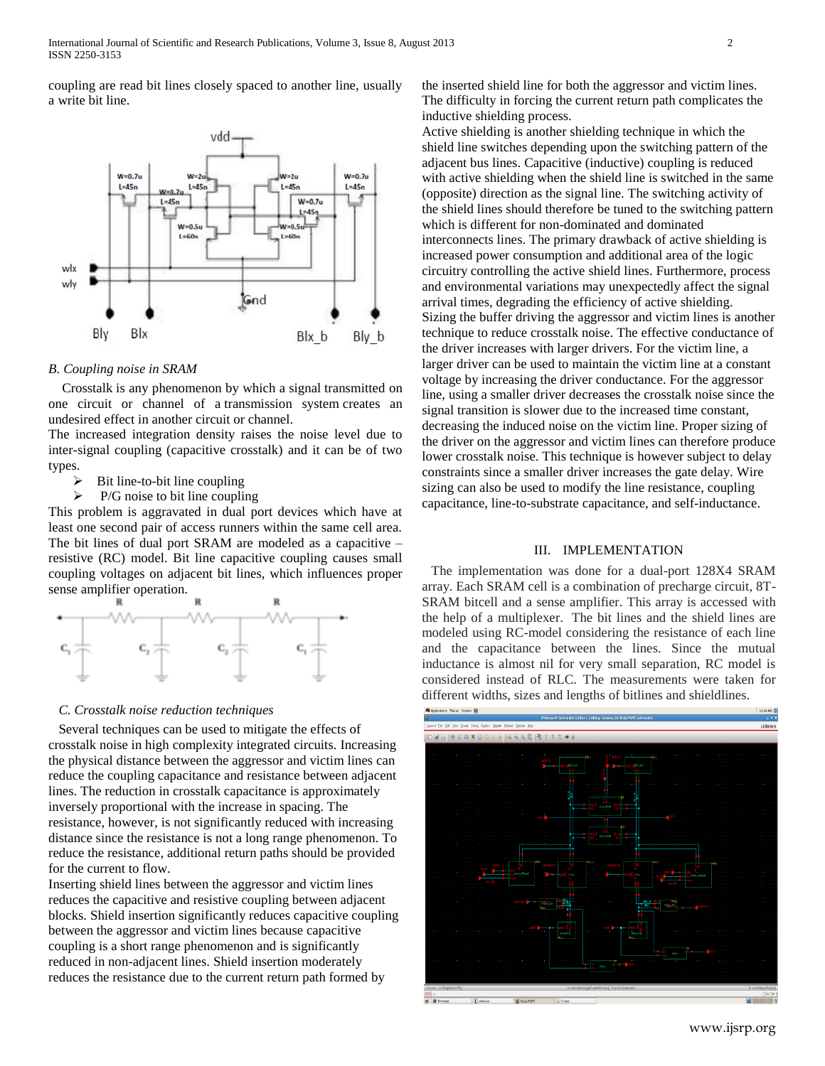coupling are read bit lines closely spaced to another line, usually a write bit line.



#### *B. Coupling noise in SRAM*

 Crosstalk is any phenomenon by which a signal transmitted on one circuit or channel of a transmission system creates an undesired effect in another circuit or channel.

The increased integration density raises the noise level due to inter-signal coupling (capacitive crosstalk) and it can be of two types.

- $\triangleright$  Bit line-to-bit line coupling
- $\triangleright$  P/G noise to bit line coupling

This problem is aggravated in dual port devices which have at least one second pair of access runners within the same cell area. The bit lines of dual port SRAM are modeled as a capacitive – resistive (RC) model. Bit line capacitive coupling causes small coupling voltages on adjacent bit lines, which influences proper sense amplifier operation.



# *C. Crosstalk noise reduction techniques*

 Several techniques can be used to mitigate the effects of crosstalk noise in high complexity integrated circuits. Increasing the physical distance between the aggressor and victim lines can reduce the coupling capacitance and resistance between adjacent lines. The reduction in crosstalk capacitance is approximately inversely proportional with the increase in spacing. The resistance, however, is not significantly reduced with increasing distance since the resistance is not a long range phenomenon. To reduce the resistance, additional return paths should be provided for the current to flow.

Inserting shield lines between the aggressor and victim lines reduces the capacitive and resistive coupling between adjacent blocks. Shield insertion significantly reduces capacitive coupling between the aggressor and victim lines because capacitive coupling is a short range phenomenon and is significantly reduced in non-adjacent lines. Shield insertion moderately reduces the resistance due to the current return path formed by

the inserted shield line for both the aggressor and victim lines. The difficulty in forcing the current return path complicates the inductive shielding process.

Active shielding is another shielding technique in which the shield line switches depending upon the switching pattern of the adjacent bus lines. Capacitive (inductive) coupling is reduced with active shielding when the shield line is switched in the same (opposite) direction as the signal line. The switching activity of the shield lines should therefore be tuned to the switching pattern which is different for non-dominated and dominated interconnects lines. The primary drawback of active shielding is increased power consumption and additional area of the logic circuitry controlling the active shield lines. Furthermore, process and environmental variations may unexpectedly affect the signal arrival times, degrading the efficiency of active shielding. Sizing the buffer driving the aggressor and victim lines is another technique to reduce crosstalk noise. The effective conductance of the driver increases with larger drivers. For the victim line, a larger driver can be used to maintain the victim line at a constant voltage by increasing the driver conductance. For the aggressor line, using a smaller driver decreases the crosstalk noise since the signal transition is slower due to the increased time constant, decreasing the induced noise on the victim line. Proper sizing of the driver on the aggressor and victim lines can therefore produce lower crosstalk noise. This technique is however subject to delay constraints since a smaller driver increases the gate delay. Wire sizing can also be used to modify the line resistance, coupling capacitance, line-to-substrate capacitance, and self-inductance.

#### III. IMPLEMENTATION

The implementation was done for a dual-port 128X4 SRAM array. Each SRAM cell is a combination of precharge circuit, 8T-SRAM bitcell and a sense amplifier. This array is accessed with the help of a multiplexer. The bit lines and the shield lines are modeled using RC-model considering the resistance of each line and the capacitance between the lines. Since the mutual inductance is almost nil for very small separation, RC model is considered instead of RLC. The measurements were taken for different widths, sizes and lengths of bitlines and shieldlines.

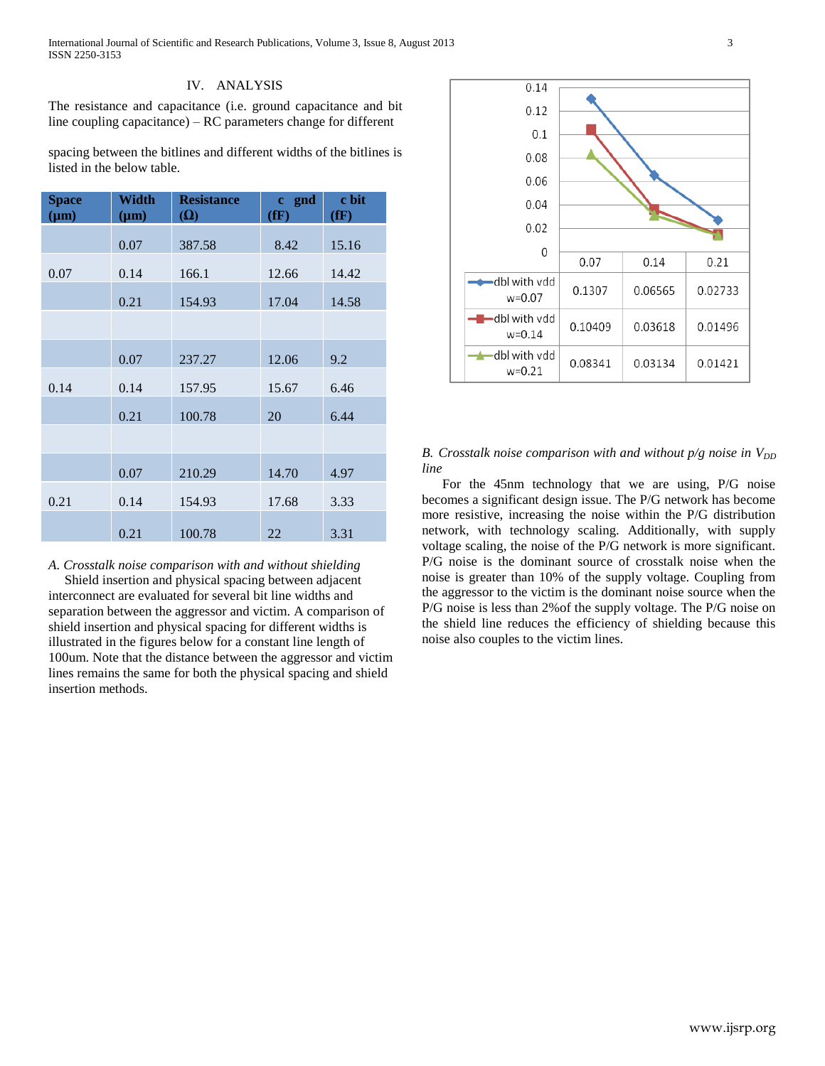International Journal of Scientific and Research Publications, Volume 3, Issue 8, August 2013 3 ISSN 2250-3153

## IV. ANALYSIS

The resistance and capacitance (i.e. ground capacitance and bit line coupling capacitance) – RC parameters change for different

spacing between the bitlines and different widths of the bitlines is listed in the below table.

| <b>Space</b><br>$(\mu m)$ | Width<br>$(\mu m)$ | <b>Resistance</b><br>$(\Omega)$ | gnd<br>$\mathbf{c}$<br>(fF) | c bit<br>(fF) |
|---------------------------|--------------------|---------------------------------|-----------------------------|---------------|
|                           | 0.07               | 387.58                          | 8.42                        | 15.16         |
| 0.07                      | 0.14               | 166.1                           | 12.66                       | 14.42         |
|                           | 0.21               | 154.93                          | 17.04                       | 14.58         |
|                           |                    |                                 |                             |               |
|                           | 0.07               | 237.27                          | 12.06                       | 9.2           |
| 0.14                      | 0.14               | 157.95                          | 15.67                       | 6.46          |
|                           | 0.21               | 100.78                          | 20                          | 6.44          |
|                           |                    |                                 |                             |               |
|                           | 0.07               | 210.29                          | 14.70                       | 4.97          |
| 0.21                      | 0.14               | 154.93                          | 17.68                       | 3.33          |
|                           | 0.21               | 100.78                          | 22                          | 3.31          |

*A. Crosstalk noise comparison with and without shielding* Shield insertion and physical spacing between adjacent interconnect are evaluated for several bit line widths and separation between the aggressor and victim. A comparison of shield insertion and physical spacing for different widths is illustrated in the figures below for a constant line length of 100um. Note that the distance between the aggressor and victim lines remains the same for both the physical spacing and shield insertion methods.



*B. Crosstalk noise comparison with and without p/g noise in*  $V_{DD}$ *line*

 For the 45nm technology that we are using, P/G noise becomes a significant design issue. The P/G network has become more resistive, increasing the noise within the P/G distribution network, with technology scaling. Additionally, with supply voltage scaling, the noise of the P/G network is more significant. P/G noise is the dominant source of crosstalk noise when the noise is greater than 10% of the supply voltage. Coupling from the aggressor to the victim is the dominant noise source when the P/G noise is less than 2%of the supply voltage. The P/G noise on the shield line reduces the efficiency of shielding because this noise also couples to the victim lines.